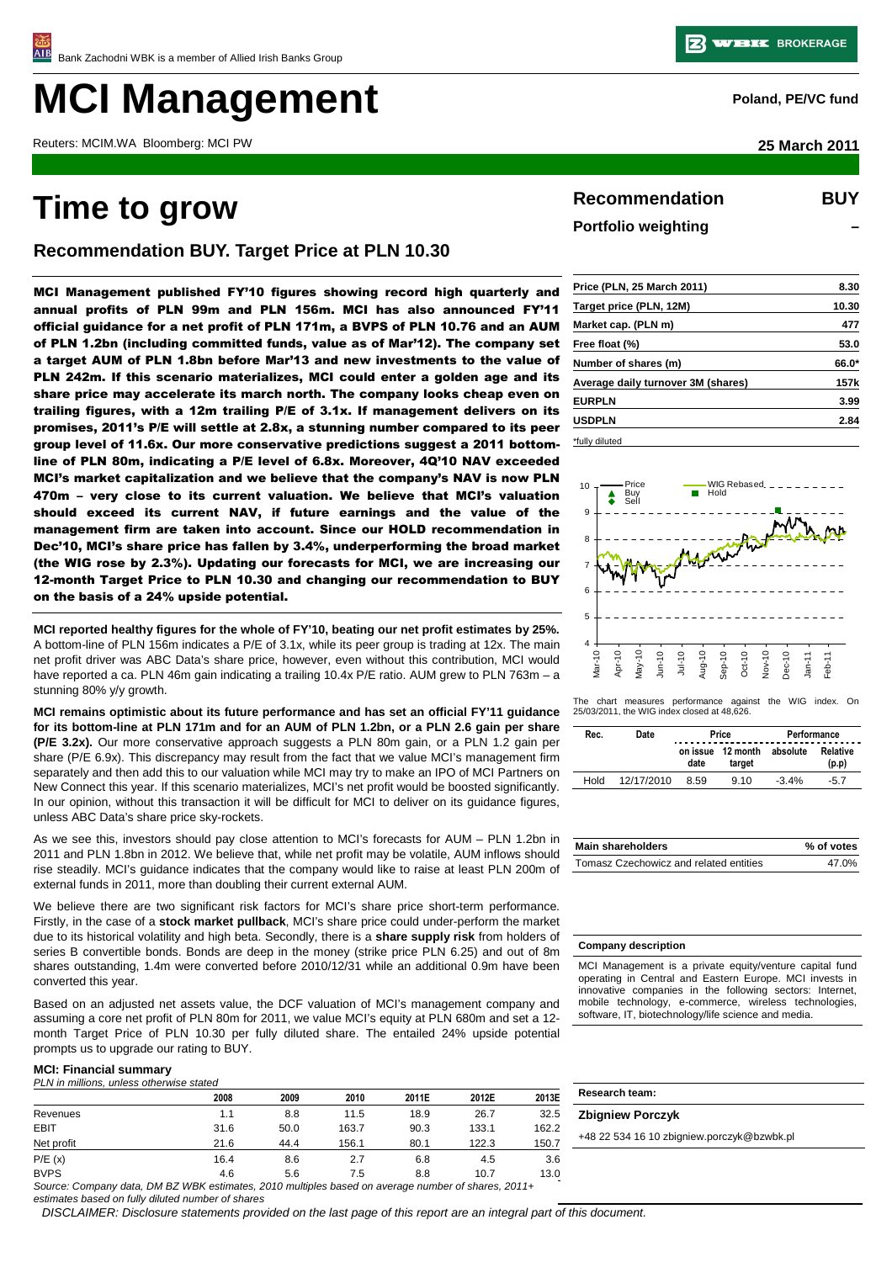# **MCI Management Poland, PE/VC fund**

Reuters: MCIM.WA Bloomberg: MCI PW **25 March 2011**

# **Time to grow**

**Recommendation BUY. Target Price at PLN 10.30**

MCI Management published FY'10 figures showing record high quarterly and annual profits of PLN 99m and PLN 156m. MCI has also announced FY'11 official guidance for a net profit of PLN 171m, a BVPS of PLN 10.76 and an AUM of PLN 1.2bn (including committed funds, value as of Mar'12). The company set a target AUM of PLN 1.8bn before Mar'13 and new investments to the value of PLN 242m. If this scenario materializes, MCI could enter a golden age and its share price may accelerate its march north. The company looks cheap even on trailing figures, with a 12m trailing P/E of 3.1x. If management delivers on its promises, 2011's P/E will settle at 2.8x, a stunning number compared to its peer group level of 11.6x. Our more conservative predictions suggest a 2011 bottomline of PLN 80m, indicating a P/E level of 6.8x. Moreover, 4Q'10 NAV exceeded MCI's market capitalization and we believe that the company's NAV is now PLN 470m – very close to its current valuation. We believe that MCI's valuation should exceed its current NAV, if future earnings and the value of the management firm are taken into account. Since our HOLD recommendation in Dec'10, MCI's share price has fallen by 3.4%, underperforming the broad market (the WIG rose by 2.3%). Updating our forecasts for MCI, we are increasing our 12-month Target Price to PLN 10.30 and changing our recommendation to BUY on the basis of a 24% upside potential.

**MCI reported healthy figures for the whole of FY'10, beating our net profit estimates by 25%.** A bottom-line of PLN 156m indicates a P/E of 3.1x, while its peer group is trading at 12x. The main net profit driver was ABC Data's share price, however, even without this contribution, MCI would have reported a ca. PLN 46m gain indicating a trailing 10.4x P/E ratio. AUM grew to PLN 763m - a stunning 80% y/y growth.

**MCI remains optimistic about its future performance and has set an official FY'11 guidance for its bottom-line at PLN 171m and for an AUM of PLN 1.2bn, or a PLN 2.6 gain per share (P/E 3.2x).** Our more conservative approach suggests a PLN 80m gain, or a PLN 1.2 gain per share (P/E 6.9x). This discrepancy may result from the fact that we value MCI's management firm separately and then add this to our valuation while MCI may try to make an IPO of MCI Partners on New Connect this year. If this scenario materializes, MCI's net profit would be boosted significantly. In our opinion, without this transaction it will be difficult for MCI to deliver on its guidance figures, unless ABC Data's share price sky-rockets.

As we see this, investors should pay close attention to MCI's forecasts for AUM – PLN 1.2bn in 2011 and PLN 1.8bn in 2012. We believe that, while net profit may be volatile, AUM inflows should rise steadily. MCI's guidance indicates that the company would like to raise at least PLN 200m of external funds in 2011, more than doubling their current external AUM.

We believe there are two significant risk factors for MCI's share price short-term performance. Firstly, in the case of a **stock market pullback**, MCI's share price could under-perform the market due to its historical volatility and high beta. Secondly, there is a **share supply risk** from holders of series B convertible bonds. Bonds are deep in the money (strike price PLN 6.25) and out of 8m shares outstanding, 1.4m were converted before 2010/12/31 while an additional 0.9m have been converted this year.

Based on an adjusted net assets value, the DCF valuation of MCI's management company and assuming a core net profit of PLN 80m for 2011, we value MCI's equity at PLN 680m and set a 12 month Target Price of PLN 10.30 per fully diluted share. The entailed 24% upside potential prompts us to upgrade our rating to BUY.

### **MCI: Financial summary**

PLN in millions, unless otherwise stated

|             | 2008 | 2009 | 2010  | 2011E | 2012E | 2013E |
|-------------|------|------|-------|-------|-------|-------|
| Revenues    | 1.1  | 8.8  | 11.5  | 18.9  | 26.7  | 32.5  |
| <b>EBIT</b> | 31.6 | 50.0 | 163.7 | 90.3  | 133.1 | 162.2 |
| Net profit  | 21.6 | 44.4 | 156.1 | 80.1  | 122.3 | 150.7 |
| P/E(x)      | 16.4 | 8.6  | 2.7   | 6.8   | 4.5   | 3.6   |
| <b>BVPS</b> | 4.6  | 5.6  | 7.5   | 8.8   | 10.7  | 13.0  |

Source: Company data, DM BZ WBK estimates, 2010 multiples based on average number of shares, 2011+

estimates based on fully diluted number of shares

DISCLAIMER: Disclosure statements provided on the last page of this report are an integral part of this document.

**Recommendation Portfolio weighting BUY –** 

| Price (PLN, 25 March 2011)         | 8.30             |
|------------------------------------|------------------|
| Target price (PLN, 12M)            | 10.30            |
| Market cap. (PLN m)                | 477              |
| Free float (%)                     | 53.0             |
| Number of shares (m)               | 66.0*            |
| Average daily turnover 3M (shares) | 157 <sub>k</sub> |
| <b>EURPLN</b>                      | 3.99             |
| <b>USDPLN</b>                      | 2.84             |
| *fully diluted                     |                  |



The chart measures performance against the WIG index. On 25/03/2011, the WIG index closed at 48,626.

| Rec. | Date       |      | Price                       | Performance |                   |  |
|------|------------|------|-----------------------------|-------------|-------------------|--|
|      |            | date | on issue 12 month<br>target | absolute    | Relative<br>(p.p) |  |
| Hold | 12/17/2010 | 8.59 | 910                         | $-3.4%$     | -5 7              |  |

| Main shareholders                      | % of votes |
|----------------------------------------|------------|
| Tomasz Czechowicz and related entities | 47.0%      |

### **Company description**

MCI Management is a private equity/venture capital fund operating in Central and Eastern Europe. MCI invests in innovative companies in the following sectors: Internet, mobile technology, e-commerce, wireless technologies software, IT, biotechnology/life science and media.

| <b>Research team:</b> |  |
|-----------------------|--|
|                       |  |

### **Zbigniew Porczyk**

+48 22 534 16 10 zbigniew.porczyk@bzwbk.pl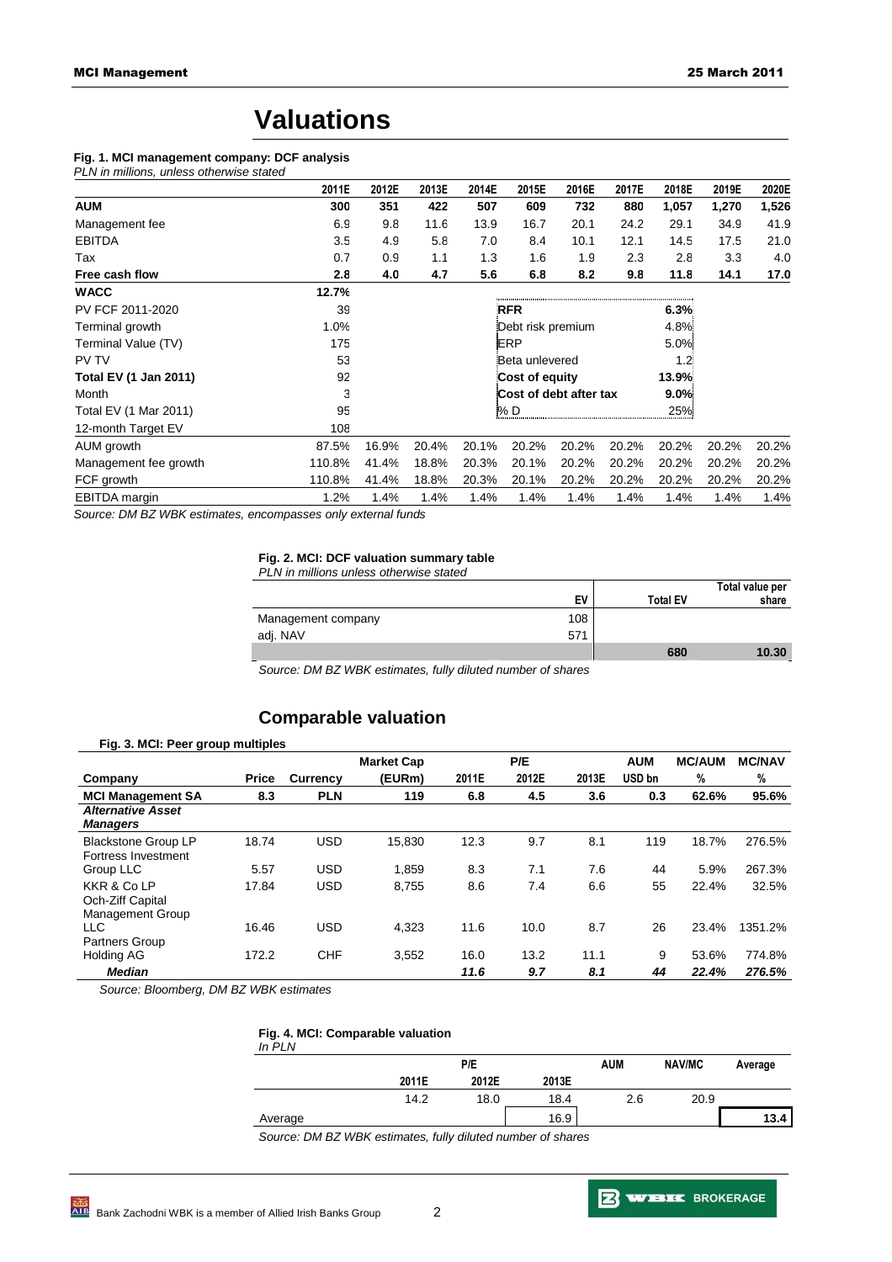# **Valuations**

### **Fig. 1. MCI management company: DCF analysis**

| PLN in millions, unless otherwise stated |        |       |       |       |                        |       |       |         |       |       |
|------------------------------------------|--------|-------|-------|-------|------------------------|-------|-------|---------|-------|-------|
|                                          | 2011E  | 2012E | 2013E | 2014E | 2015E                  | 2016E | 2017E | 2018E   | 2019E | 2020E |
| <b>AUM</b>                               | 300    | 351   | 422   | 507   | 609                    | 732   | 880   | 1,057   | 1,270 | 1,526 |
| Management fee                           | 6.9    | 9.8   | 11.6  | 13.9  | 16.7                   | 20.1  | 24.2  | 29.1    | 34.9  | 41.9  |
| <b>EBITDA</b>                            | 3.5    | 4.9   | 5.8   | 7.0   | 8.4                    | 10.1  | 12.1  | 14.5    | 17.5  | 21.0  |
| Tax                                      | 0.7    | 0.9   | 1.1   | 1.3   | 1.6                    | 1.9   | 2.3   | 2.8     | 3.3   | 4.0   |
| Free cash flow                           | 2.8    | 4.0   | 4.7   | 5.6   | 6.8                    | 8.2   | 9.8   | 11.8    | 14.1  | 17.0  |
| <b>WACC</b>                              | 12.7%  |       |       |       |                        |       |       |         |       |       |
| PV FCF 2011-2020                         | 39     |       |       |       | <b>RFR</b>             |       |       | 6.3%    |       |       |
| Terminal growth                          | 1.0%   |       |       |       | Debt risk premium      |       |       | 4.8%    |       |       |
| Terminal Value (TV)                      | 175    |       |       |       | ERP                    |       |       | 5.0%    |       |       |
| PV TV                                    | 53     |       |       |       | Beta unlevered         |       |       | 1.2     |       |       |
| <b>Total EV (1 Jan 2011)</b>             | 92     |       |       |       | Cost of equity         |       |       | 13.9%   |       |       |
| Month                                    | 3      |       |       |       | Cost of debt after tax |       |       | $9.0\%$ |       |       |
| Total EV (1 Mar 2011)                    | 95     |       |       |       | % D                    |       |       | 25%     |       |       |
| 12-month Target EV                       | 108    |       |       |       |                        |       |       |         |       |       |
| AUM growth                               | 87.5%  | 16.9% | 20.4% | 20.1% | 20.2%                  | 20.2% | 20.2% | 20.2%   | 20.2% | 20.2% |
| Management fee growth                    | 110.8% | 41.4% | 18.8% | 20.3% | 20.1%                  | 20.2% | 20.2% | 20.2%   | 20.2% | 20.2% |
| FCF growth                               | 110.8% | 41.4% | 18.8% | 20.3% | 20.1%                  | 20.2% | 20.2% | 20.2%   | 20.2% | 20.2% |
| <b>EBITDA</b> margin                     | 1.2%   | 1.4%  | 1.4%  | 1.4%  | 1.4%                   | 1.4%  | 1.4%  | 1.4%    | 1.4%  | 1.4%  |

Source: DM BZ WBK estimates, encompasses only external funds

#### **Fig. 2. MCI: DCF valuation summary table**

| PLN in millions unless otherwise stated |     |                 |                 |
|-----------------------------------------|-----|-----------------|-----------------|
|                                         |     |                 | Total value per |
|                                         | EV  | <b>Total EV</b> | share           |
| Management company                      | 108 |                 |                 |
| adj. NAV                                | 571 |                 |                 |
|                                         |     | 680             | 10.30           |

Source: DM BZ WBK estimates, fully diluted number of shares

# **Comparable valuation**

### **Fig. 3. MCI: Peer group multiples**

|                                                                       |              |            | <b>Market Cap</b> |       | P/E   |       | <b>AUM</b> | <b>MC/AUM</b> | <b>MC/NAV</b> |
|-----------------------------------------------------------------------|--------------|------------|-------------------|-------|-------|-------|------------|---------------|---------------|
| Company                                                               | <b>Price</b> | Currency   | (EURm)            | 2011E | 2012E | 2013E | USD bn     | %             | %             |
| <b>MCI Management SA</b>                                              | 8.3          | <b>PLN</b> | 119               | 6.8   | 4.5   | 3.6   | 0.3        | 62.6%         | 95.6%         |
| <b>Alternative Asset</b><br><b>Managers</b>                           |              |            |                   |       |       |       |            |               |               |
| <b>Blackstone Group LP</b><br>Fortress Investment                     | 18.74        | <b>USD</b> | 15.830            | 12.3  | 9.7   | 8.1   | 119        | 18.7%         | 276.5%        |
| Group LLC                                                             | 5.57         | <b>USD</b> | 1.859             | 8.3   | 7.1   | 7.6   | 44         | 5.9%          | 267.3%        |
| <b>KKR &amp; Co LP</b><br>Och-Ziff Capital<br><b>Management Group</b> | 17.84        | <b>USD</b> | 8,755             | 8.6   | 7.4   | 6.6   | 55         | 22.4%         | 32.5%         |
| <b>LLC</b><br>Partners Group                                          | 16.46        | <b>USD</b> | 4.323             | 11.6  | 10.0  | 8.7   | 26         | 23.4%         | 1351.2%       |
| <b>Holding AG</b>                                                     | 172.2        | <b>CHF</b> | 3.552             | 16.0  | 13.2  | 11.1  | 9          | 53.6%         | 774.8%        |
| <b>Median</b>                                                         |              |            |                   | 11.6  | 9.7   | 8.1   | 44         | 22.4%         | 276.5%        |

Source: Bloomberg, DM BZ WBK estimates

#### **Fig. 4. MCI: Comparable valuation**

| In PLN  |       |       |       |     |        |         |
|---------|-------|-------|-------|-----|--------|---------|
|         |       | P/E   |       |     | NAV/MC | Average |
|         | 2011E | 2012E | 2013E |     |        |         |
|         | 14.2  | 18.0  | 18.4  | 2.6 | 20.9   |         |
| Average |       |       | 16.9  |     |        | 13.4    |

Source: DM BZ WBK estimates, fully diluted number of shares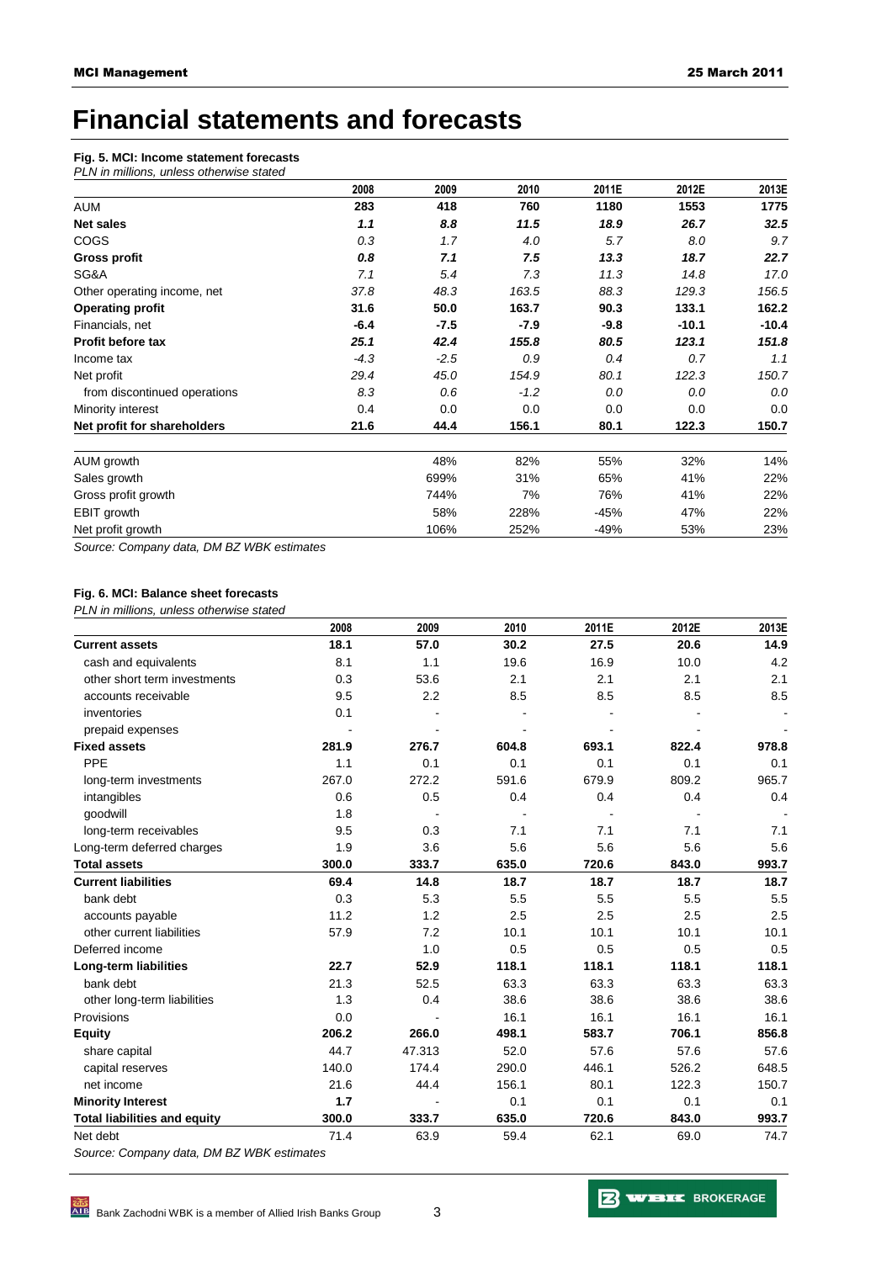# **Financial statements and forecasts**

### **Fig. 5. MCI: Income statement forecasts**

| PLN in millions, unless otherwise stated |        |        |        |        |         |         |
|------------------------------------------|--------|--------|--------|--------|---------|---------|
|                                          | 2008   | 2009   | 2010   | 2011E  | 2012E   | 2013E   |
| <b>AUM</b>                               | 283    | 418    | 760    | 1180   | 1553    | 1775    |
| <b>Net sales</b>                         | 1.1    | 8.8    | 11.5   | 18.9   | 26.7    | 32.5    |
| COGS                                     | 0.3    | 1.7    | 4.0    | 5.7    | 8.0     | 9.7     |
| <b>Gross profit</b>                      | 0.8    | 7.1    | 7.5    | 13.3   | 18.7    | 22.7    |
| SG&A                                     | 7.1    | 5.4    | 7.3    | 11.3   | 14.8    | 17.0    |
| Other operating income, net              | 37.8   | 48.3   | 163.5  | 88.3   | 129.3   | 156.5   |
| <b>Operating profit</b>                  | 31.6   | 50.0   | 163.7  | 90.3   | 133.1   | 162.2   |
| Financials, net                          | $-6.4$ | -7.5   | $-7.9$ | $-9.8$ | $-10.1$ | $-10.4$ |
| <b>Profit before tax</b>                 | 25.1   | 42.4   | 155.8  | 80.5   | 123.1   | 151.8   |
| Income tax                               | $-4.3$ | $-2.5$ | 0.9    | 0.4    | 0.7     | 1.1     |
| Net profit                               | 29.4   | 45.0   | 154.9  | 80.1   | 122.3   | 150.7   |
| from discontinued operations             | 8.3    | 0.6    | $-1.2$ | 0.0    | 0.0     | 0.0     |
| Minority interest                        | 0.4    | 0.0    | 0.0    | 0.0    | 0.0     | 0.0     |
| Net profit for shareholders              | 21.6   | 44.4   | 156.1  | 80.1   | 122.3   | 150.7   |
| AUM growth                               |        | 48%    | 82%    | 55%    | 32%     | 14%     |
| Sales growth                             |        | 699%   | 31%    | 65%    | 41%     | 22%     |
| Gross profit growth                      |        | 744%   | 7%     | 76%    | 41%     | 22%     |
| EBIT growth                              |        | 58%    | 228%   | -45%   | 47%     | 22%     |
| Net profit growth                        |        | 106%   | 252%   | $-49%$ | 53%     | 23%     |
| ___________                              |        |        |        |        |         |         |

Source: Company data, DM BZ WBK estimates

### **Fig. 6. MCI: Balance sheet forecasts**

PLN in millions, unless otherwise stated

|                                     | 2008  | 2009   | 2010  | 2011E | 2012E | 2013E |
|-------------------------------------|-------|--------|-------|-------|-------|-------|
| <b>Current assets</b>               | 18.1  | 57.0   | 30.2  | 27.5  | 20.6  | 14.9  |
| cash and equivalents                | 8.1   | 1.1    | 19.6  | 16.9  | 10.0  | 4.2   |
| other short term investments        | 0.3   | 53.6   | 2.1   | 2.1   | 2.1   | 2.1   |
| accounts receivable                 | 9.5   | 2.2    | 8.5   | 8.5   | 8.5   | 8.5   |
| inventories                         | 0.1   |        |       |       |       |       |
| prepaid expenses                    |       |        |       |       |       |       |
| <b>Fixed assets</b>                 | 281.9 | 276.7  | 604.8 | 693.1 | 822.4 | 978.8 |
| PPE                                 | 1.1   | 0.1    | 0.1   | 0.1   | 0.1   | 0.1   |
| long-term investments               | 267.0 | 272.2  | 591.6 | 679.9 | 809.2 | 965.7 |
| intangibles                         | 0.6   | 0.5    | 0.4   | 0.4   | 0.4   | 0.4   |
| goodwill                            | 1.8   |        |       |       |       |       |
| long-term receivables               | 9.5   | 0.3    | 7.1   | 7.1   | 7.1   | 7.1   |
| Long-term deferred charges          | 1.9   | 3.6    | 5.6   | 5.6   | 5.6   | 5.6   |
| <b>Total assets</b>                 | 300.0 | 333.7  | 635.0 | 720.6 | 843.0 | 993.7 |
| <b>Current liabilities</b>          | 69.4  | 14.8   | 18.7  | 18.7  | 18.7  | 18.7  |
| bank debt                           | 0.3   | 5.3    | 5.5   | 5.5   | 5.5   | 5.5   |
| accounts payable                    | 11.2  | 1.2    | 2.5   | 2.5   | 2.5   | 2.5   |
| other current liabilities           | 57.9  | 7.2    | 10.1  | 10.1  | 10.1  | 10.1  |
| Deferred income                     |       | 1.0    | 0.5   | 0.5   | 0.5   | 0.5   |
| Long-term liabilities               | 22.7  | 52.9   | 118.1 | 118.1 | 118.1 | 118.1 |
| bank debt                           | 21.3  | 52.5   | 63.3  | 63.3  | 63.3  | 63.3  |
| other long-term liabilities         | 1.3   | 0.4    | 38.6  | 38.6  | 38.6  | 38.6  |
| Provisions                          | 0.0   |        | 16.1  | 16.1  | 16.1  | 16.1  |
| <b>Equity</b>                       | 206.2 | 266.0  | 498.1 | 583.7 | 706.1 | 856.8 |
| share capital                       | 44.7  | 47.313 | 52.0  | 57.6  | 57.6  | 57.6  |
| capital reserves                    | 140.0 | 174.4  | 290.0 | 446.1 | 526.2 | 648.5 |
| net income                          | 21.6  | 44.4   | 156.1 | 80.1  | 122.3 | 150.7 |
| <b>Minority Interest</b>            | 1.7   |        | 0.1   | 0.1   | 0.1   | 0.1   |
| <b>Total liabilities and equity</b> | 300.0 | 333.7  | 635.0 | 720.6 | 843.0 | 993.7 |
| Net debt                            | 71.4  | 63.9   | 59.4  | 62.1  | 69.0  | 74.7  |

Source: Company data, DM BZ WBK estimates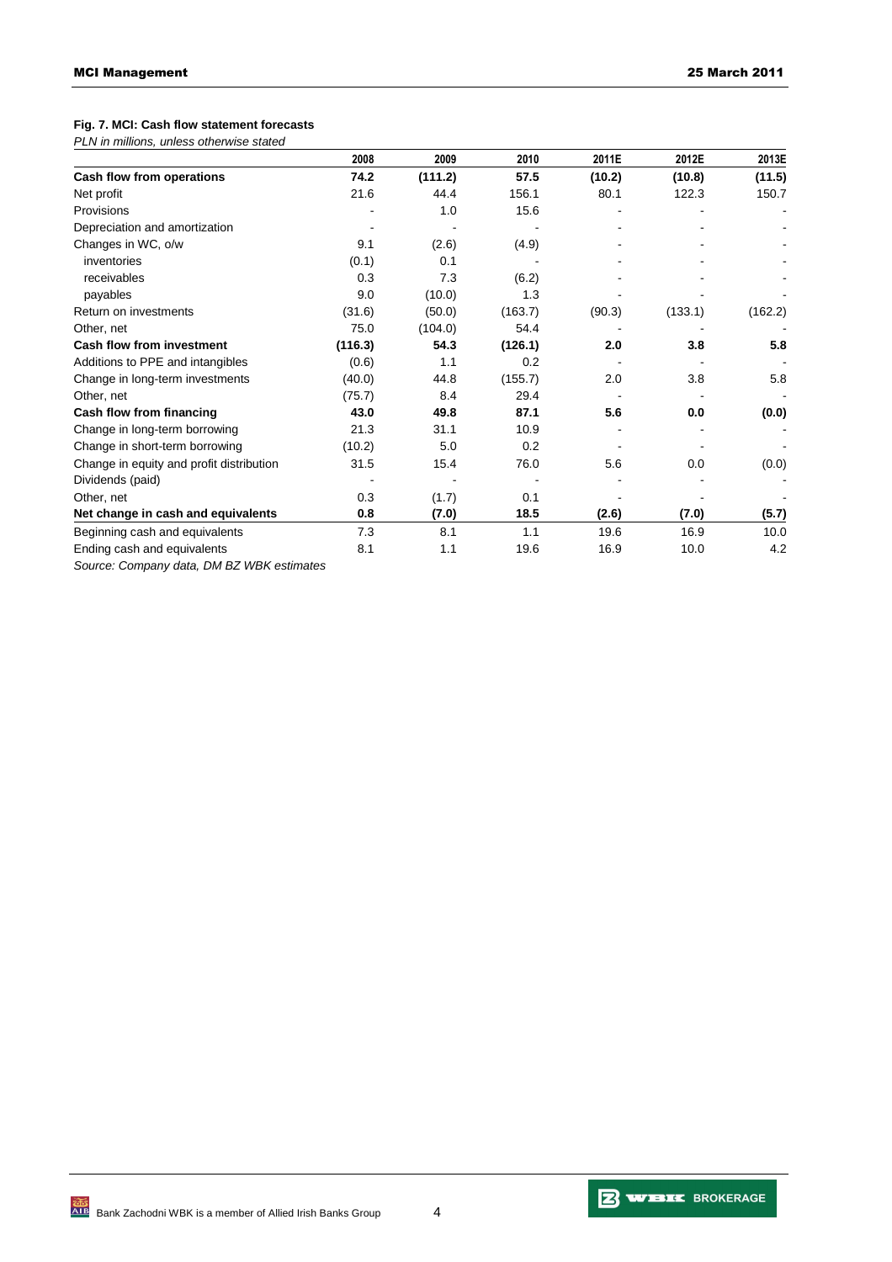## **Fig. 7. MCI: Cash flow statement forecasts**

PLN in millions, unless otherwise stated

|                                          | 2008    | 2009    | 2010    | 2011E  | 2012E   | 2013E   |
|------------------------------------------|---------|---------|---------|--------|---------|---------|
| Cash flow from operations                | 74.2    | (111.2) | 57.5    | (10.2) | (10.8)  | (11.5)  |
| Net profit                               | 21.6    | 44.4    | 156.1   | 80.1   | 122.3   | 150.7   |
| Provisions                               |         | 1.0     | 15.6    |        |         |         |
| Depreciation and amortization            |         |         |         |        |         |         |
| Changes in WC, o/w                       | 9.1     | (2.6)   | (4.9)   |        |         |         |
| inventories                              | (0.1)   | 0.1     |         |        |         |         |
| receivables                              | 0.3     | 7.3     | (6.2)   |        |         |         |
| payables                                 | 9.0     | (10.0)  | 1.3     |        |         |         |
| Return on investments                    | (31.6)  | (50.0)  | (163.7) | (90.3) | (133.1) | (162.2) |
| Other, net                               | 75.0    | (104.0) | 54.4    |        |         |         |
| <b>Cash flow from investment</b>         | (116.3) | 54.3    | (126.1) | 2.0    | 3.8     | 5.8     |
| Additions to PPE and intangibles         | (0.6)   | 1.1     | 0.2     |        |         |         |
| Change in long-term investments          | (40.0)  | 44.8    | (155.7) | 2.0    | 3.8     | 5.8     |
| Other, net                               | (75.7)  | 8.4     | 29.4    |        |         |         |
| Cash flow from financing                 | 43.0    | 49.8    | 87.1    | 5.6    | 0.0     | (0.0)   |
| Change in long-term borrowing            | 21.3    | 31.1    | 10.9    |        |         |         |
| Change in short-term borrowing           | (10.2)  | 5.0     | 0.2     |        |         |         |
| Change in equity and profit distribution | 31.5    | 15.4    | 76.0    | 5.6    | 0.0     | (0.0)   |
| Dividends (paid)                         |         |         |         |        |         |         |
| Other, net                               | 0.3     | (1.7)   | 0.1     |        |         |         |
| Net change in cash and equivalents       | 0.8     | (7.0)   | 18.5    | (2.6)  | (7.0)   | (5.7)   |
| Beginning cash and equivalents           | 7.3     | 8.1     | 1.1     | 19.6   | 16.9    | 10.0    |
| Ending cash and equivalents              | 8.1     | 1.1     | 19.6    | 16.9   | 10.0    | 4.2     |

Source: Company data, DM BZ WBK estimates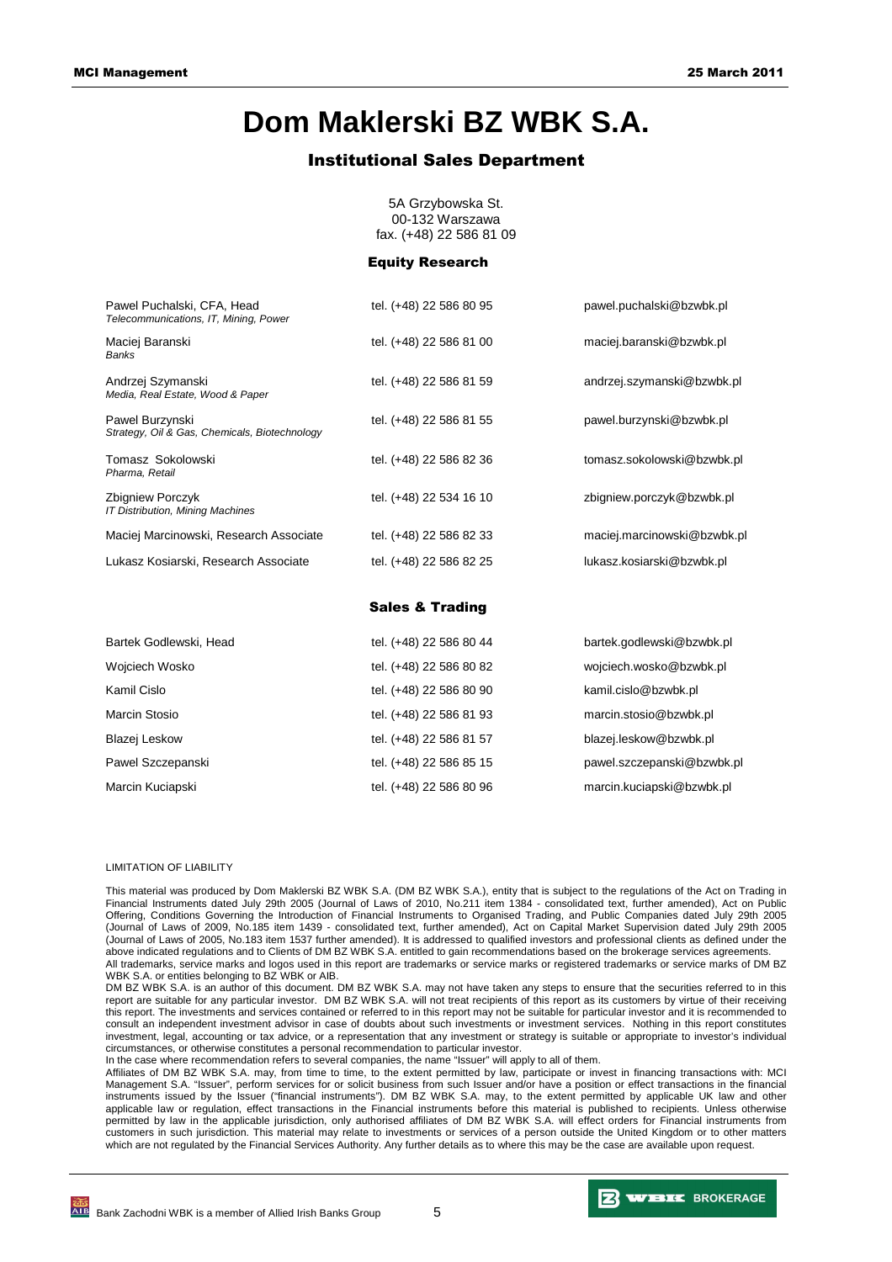# **Dom Maklerski BZ WBK S.A.**

### Institutional Sales Department

| 5A Grzybowska St.       |
|-------------------------|
| 00-132 Warszawa         |
| fax. (+48) 22 586 81 09 |

### Equity Research

| Pawel Puchalski, CFA, Head<br>Telecommunications, IT, Mining, Power | tel. (+48) 22 586 80 95    | pawel.puchalski@bzwbk.pl    |
|---------------------------------------------------------------------|----------------------------|-----------------------------|
| Maciej Baranski<br><b>Banks</b>                                     | tel. (+48) 22 586 81 00    | maciej.baranski@bzwbk.pl    |
| Andrzej Szymanski<br>Media, Real Estate, Wood & Paper               | tel. (+48) 22 586 81 59    | andrzej.szymanski@bzwbk.pl  |
| Pawel Burzynski<br>Strategy, Oil & Gas, Chemicals, Biotechnology    | tel. (+48) 22 586 81 55    | pawel.burzynski@bzwbk.pl    |
| Tomasz Sokolowski<br>Pharma, Retail                                 | tel. (+48) 22 586 82 36    | tomasz.sokolowski@bzwbk.pl  |
| Zbigniew Porczyk<br>IT Distribution, Mining Machines                | tel. (+48) 22 534 16 10    | zbigniew.porczyk@bzwbk.pl   |
| Maciej Marcinowski, Research Associate                              | tel. (+48) 22 586 82 33    | maciej.marcinowski@bzwbk.pl |
| Lukasz Kosiarski, Research Associate                                | tel. (+48) 22 586 82 25    | lukasz.kosiarski@bzwbk.pl   |
|                                                                     | <b>Sales &amp; Trading</b> |                             |
| Bartek Godlewski, Head                                              | tel. (+48) 22 586 80 44    | bartek.godlewski@bzwbk.pl   |
| Wojciech Wosko                                                      | tel. (+48) 22 586 80 82    | wojciech.wosko@bzwbk.pl     |
| Kamil Cislo                                                         | tel. (+48) 22 586 80 90    | kamil.cislo@bzwbk.pl        |
| Marcin Stosio                                                       | tel. (+48) 22 586 81 93    | marcin.stosio@bzwbk.pl      |

Blazej Leskow **blazej Leskow** tel. (+48) 22 586 81 57 blazej.leskow@bzwbk.pl Pawel Szczepanski bel. (+48) 22 586 85 15 pawel.szczepanski@bzwbk.pl

Marcin Kuciapski tel. (+48) 22 586 80 96 marcin.kuciapski@bzwbk.pl

#### LIMITATION OF LIABILITY

This material was produced by Dom Maklerski BZ WBK S.A. (DM BZ WBK S.A.), entity that is subject to the regulations of the Act on Trading in Financial Instruments dated July 29th 2005 (Journal of Laws of 2010, No.211 item 1384 - consolidated text, further amended), Act on Public Offering, Conditions Governing the Introduction of Financial Instruments to Organised Trading, and Public Companies dated July 29th 2005 (Journal of Laws of 2009, No.185 item 1439 - consolidated text, further amended), Act on Capital Market Supervision dated July 29th 2005 (Journal of Laws of 2005, No.183 item 1537 further amended). It is addressed to qualified investors and professional clients as defined under the above indicated regulations and to Clients of DM BZ WBK S.A. entitled to gain recommendations based on the brokerage services agreements. All trademarks, service marks and logos used in this report are trademarks or service marks or registered trademarks or service marks of DM BZ WBK S.A. or entities belonging to BZ WBK or AIB.

DM BZ WBK S.A. is an author of this document. DM BZ WBK S.A. may not have taken any steps to ensure that the securities referred to in this report are suitable for any particular investor. DM BZ WBK S.A. will not treat recipients of this report as its customers by virtue of their receiving this report. The investments and services contained or referred to in this report may not be suitable for particular investor and it is recommended to consult an independent investment advisor in case of doubts about such investments or investment services. Nothing in this report constitutes investment, legal, accounting or tax advice, or a representation that any investment or strategy is suitable or appropriate to investor's individual circumstances, or otherwise constitutes a personal recommendation to particular investor.

In the case where recommendation refers to several companies, the name "Issuer" will apply to all of them.

Affiliates of DM BZ WBK S.A. may, from time to time, to the extent permitted by law, participate or invest in financing transactions with: MCI Management S.A. "Issuer", perform services for or solicit business from such Issuer and/or have a position or effect transactions in the financial instruments issued by the Issuer ("financial instruments"). DM BZ WBK S.A. may, to the extent permitted by applicable UK law and other applicable law or regulation, effect transactions in the Financial instruments before this material is published to recipients. Unless otherwise permitted by law in the applicable jurisdiction, only authorised affiliates of DM BZ WBK S.A. will effect orders for Financial instruments from customers in such jurisdiction. This material may relate to investments or services of a person outside the United Kingdom or to other matters which are not regulated by the Financial Services Authority. Any further details as to where this may be the case are available upon request.

**Z WELK** BROKERAGE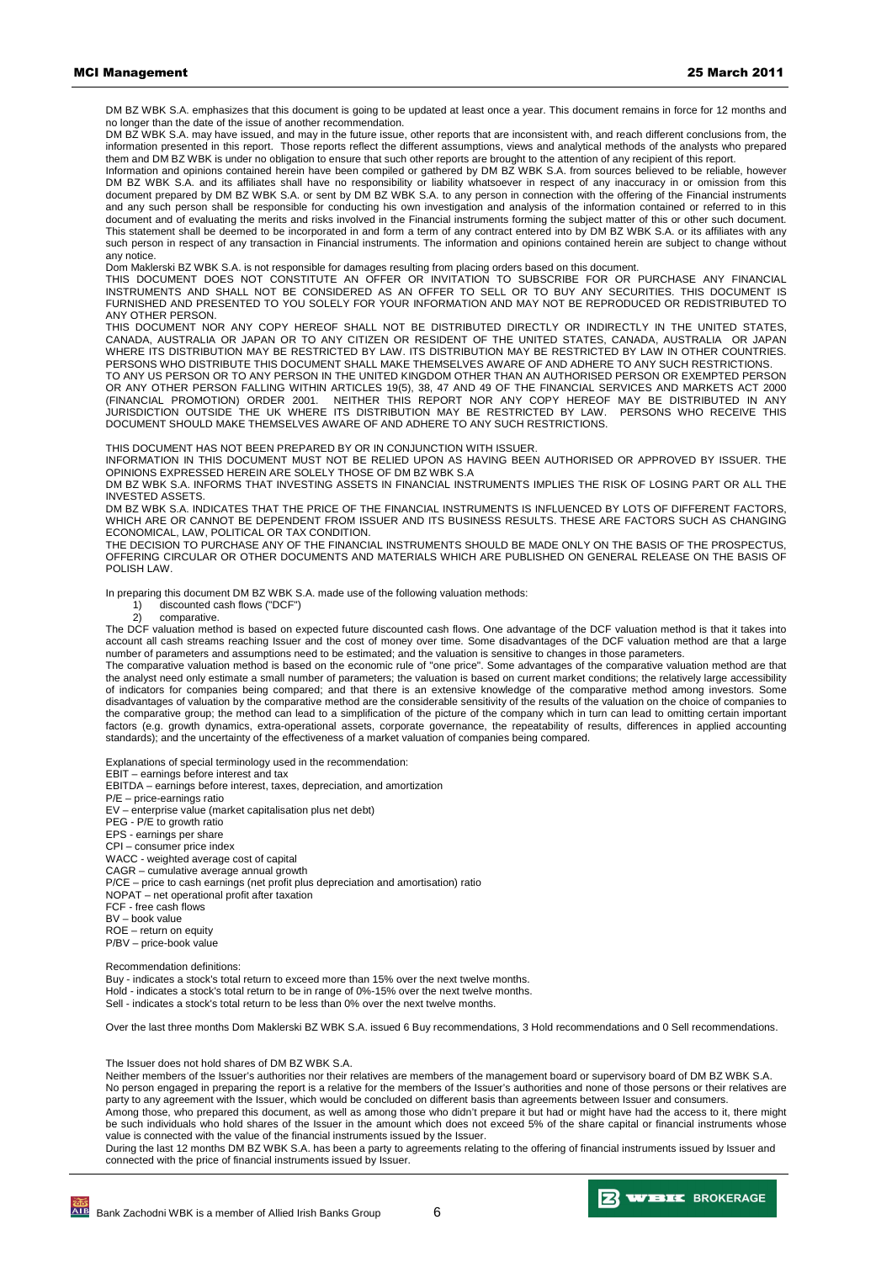### MCI Management 25 March 2011

DM BZ WBK S.A. emphasizes that this document is going to be updated at least once a year. This document remains in force for 12 months and no longer than the date of the issue of another recommendation.

DM BZ WBK S.A. may have issued, and may in the future issue, other reports that are inconsistent with, and reach different conclusions from, the information presented in this report. Those reports reflect the different assumptions, views and analytical methods of the analysts who prepared them and DM BZ WBK is under no obligation to ensure that such other reports are brought to the attention of any recipient of this report.

Information and opinions contained herein have been compiled or gathered by DM BZ WBK S.A. from sources believed to be reliable, however DM BZ WBK S.A. and its affiliates shall have no responsibility or liability whatsoever in respect of any inaccuracy in or omission from this document prepared by DM BZ WBK S.A. or sent by DM BZ WBK S.A. to any person in connection with the offering of the Financial instruments and any such person shall be responsible for conducting his own investigation and analysis of the information contained or referred to in this document and of evaluating the merits and risks involved in the Financial instruments forming the subject matter of this or other such document. This statement shall be deemed to be incorporated in and form a term of any contract entered into by DM BZ WBK S.A. or its affiliates with any such person in respect of any transaction in Financial instruments. The information and opinions contained herein are subject to change without any notice.

Dom Maklerski BZ WBK S.A. is not responsible for damages resulting from placing orders based on this document.

THIS DOCUMENT DOES NOT CONSTITUTE AN OFFER OR INVITATION TO SUBSCRIBE FOR OR PURCHASE ANY FINANCIAL INSTRUMENTS AND SHALL NOT BE CONSIDERED AS AN OFFER TO SELL OR TO BUY ANY SECURITIES. THIS DOCUMENT IS FURNISHED AND PRESENTED TO YOU SOLELY FOR YOUR INFORMATION AND MAY NOT BE REPRODUCED OR REDISTRIBUTED TO ANY OTHER PERSON.

THIS DOCUMENT NOR ANY COPY HEREOF SHALL NOT BE DISTRIBUTED DIRECTLY OR INDIRECTLY IN THE UNITED STATES, CANADA, AUSTRALIA OR JAPAN OR TO ANY CITIZEN OR RESIDENT OF THE UNITED STATES, CANADA, AUSTRALIA OR JAPAN WHERE ITS DISTRIBUTION MAY BE RESTRICTED BY LAW. ITS DISTRIBUTION MAY BE RESTRICTED BY LAW IN OTHER COUNTRIES. PERSONS WHO DISTRIBUTE THIS DOCUMENT SHALL MAKE THEMSELVES AWARE OF AND ADHERE TO ANY SUCH RESTRICTIONS.

TO ANY US PERSON OR TO ANY PERSON IN THE UNITED KINGDOM OTHER THAN AN AUTHORISED PERSON OR EXEMPTED PERSON OR ANY OTHER PERSON FALLING WITHIN ARTICLES 19(5), 38, 47 AND 49 OF THE FINANCIAL SERVICES AND MARKETS ACT 2000 (FINANCIAL PROMOTION) ORDER 2001. NEITHER THIS REPORT NOR ANY COPY HEREOF MAY BE DISTRIBUTED IN ANY JURISDICTION OUTSIDE THE UK WHERE ITS DISTRIBUTION MAY BE RESTRICTED BY LAW. PERSONS WHO RECEIVE THIS DOCUMENT SHOULD MAKE THEMSELVES AWARE OF AND ADHERE TO ANY SUCH RESTRICTIONS.

THIS DOCUMENT HAS NOT BEEN PREPARED BY OR IN CONJUNCTION WITH ISSUER.

INFORMATION IN THIS DOCUMENT MUST NOT BE RELIED UPON AS HAVING BEEN AUTHORISED OR APPROVED BY ISSUER. THE OPINIONS EXPRESSED HEREIN ARE SOLELY THOSE OF DM BZ WBK S.A

DM BZ WBK S.A. INFORMS THAT INVESTING ASSETS IN FINANCIAL INSTRUMENTS IMPLIES THE RISK OF LOSING PART OR ALL THE INVESTED ASSETS.

DM BZ WBK S.A. INDICATES THAT THE PRICE OF THE FINANCIAL INSTRUMENTS IS INFLUENCED BY LOTS OF DIFFERENT FACTORS, WHICH ARE OR CANNOT BE DEPENDENT FROM ISSUER AND ITS BUSINESS RESULTS. THESE ARE FACTORS SUCH AS CHANGING ECONOMICAL, LAW, POLITICAL OR TAX CONDITION.

THE DECISION TO PURCHASE ANY OF THE FINANCIAL INSTRUMENTS SHOULD BE MADE ONLY ON THE BASIS OF THE PROSPECTUS, OFFERING CIRCULAR OR OTHER DOCUMENTS AND MATERIALS WHICH ARE PUBLISHED ON GENERAL RELEASE ON THE BASIS OF POLISH LAW.

In preparing this document DM BZ WBK S.A. made use of the following valuation methods:

1) discounted cash flows ("DCF")

2) comparative.

The DCF valuation method is based on expected future discounted cash flows. One advantage of the DCF valuation method is that it takes into account all cash streams reaching Issuer and the cost of money over time. Some disadvantages of the DCF valuation method are that a large number of parameters and assumptions need to be estimated; and the valuation is sensitive to changes in those parameters.

The comparative valuation method is based on the economic rule of "one price". Some advantages of the comparative valuation method are that the analyst need only estimate a small number of parameters; the valuation is based on current market conditions; the relatively large accessibility of indicators for companies being compared; and that there is an extensive knowledge of the comparative method among investors. Some disadvantages of valuation by the comparative method are the considerable sensitivity of the results of the valuation on the choice of companies to the comparative group; the method can lead to a simplification of the picture of the company which in turn can lead to omitting certain important factors (e.g. growth dynamics, extra-operational assets, corporate governance, the repeatability of results, differences in applied accounting standards); and the uncertainty of the effectiveness of a market valuation of companies being compared.

Explanations of special terminology used in the recommendation: EBIT – earnings before interest and tax EBITDA – earnings before interest, taxes, depreciation, and amortization P/E – price-earnings ratio EV – enterprise value (market capitalisation plus net debt) PEG - P/E to growth ratio EPS - earnings per share CPI – consumer price index WACC - weighted average cost of capital CAGR – cumulative average annual growth P/CE – price to cash earnings (net profit plus depreciation and amortisation) ratio NOPAT – net operational profit after taxation FCF - free cash flows BV – book value ROE – return on equity

P/BV – price-book value

Recommendation definitions:

Buy - indicates a stock's total return to exceed more than 15% over the next twelve months. Hold - indicates a stock's total return to be in range of 0%-15% over the next twelve months. Sell - indicates a stock's total return to be less than 0% over the next twelve months.

Over the last three months Dom Maklerski BZ WBK S.A. issued 6 Buy recommendations, 3 Hold recommendations and 0 Sell recommendations.

#### The Issuer does not hold shares of DM BZ WBK S.A.

Neither members of the Issuer's authorities nor their relatives are members of the management board or supervisory board of DM BZ WBK S.A. No person engaged in preparing the report is a relative for the members of the Issuer's authorities and none of those persons or their relatives are party to any agreement with the Issuer, which would be concluded on different basis than agreements between Issuer and consumers. Among those, who prepared this document, as well as among those who didn't prepare it but had or might have had the access to it, there might be such individuals who hold shares of the Issuer in the amount which does not exceed 5% of the share capital or financial instruments whose value is connected with the value of the financial instruments issued by the Issuer.

During the last 12 months DM BZ WBK S.A. has been a party to agreements relating to the offering of financial instruments issued by Issuer and connected with the price of financial instruments issued by Issuer.